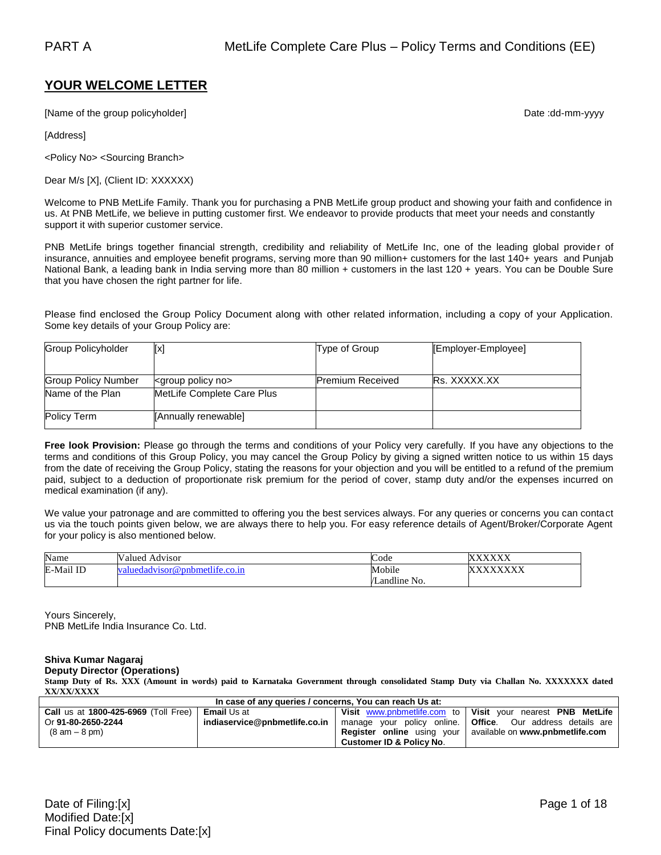# **YOUR WELCOME LETTER**

[Name of the group policyholder] example and the group of the group of the group of the group policyholder]

[Address]

<Policy No> <Sourcing Branch>

Dear M/s [X], (Client ID: XXXXXX)

Welcome to PNB MetLife Family. Thank you for purchasing a PNB MetLife group product and showing your faith and confidence in us. At PNB MetLife, we believe in putting customer first. We endeavor to provide products that meet your needs and constantly support it with superior customer service.

PNB MetLife brings together financial strength, credibility and reliability of MetLife Inc, one of the leading global provider of insurance, annuities and employee benefit programs, serving more than 90 million+ customers for the last 140+ years and Punjab National Bank, a leading bank in India serving more than 80 million + customers in the last 120 + years. You can be Double Sure that you have chosen the right partner for life.

Please find enclosed the Group Policy Document along with other related information, including a copy of your Application. Some key details of your Group Policy are:

| <b>Group Policyholder</b>  | [x]                             | Type of Group           | [Employer-Employee] |
|----------------------------|---------------------------------|-------------------------|---------------------|
|                            |                                 |                         |                     |
| <b>Group Policy Number</b> | <group no="" policy=""></group> | <b>Premium Received</b> | <b>Rs. XXXXX.XX</b> |
| Name of the Plan           | MetLife Complete Care Plus      |                         |                     |
| Policy Term                | [Annually renewable]            |                         |                     |

**Free look Provision:** Please go through the terms and conditions of your Policy very carefully. If you have any objections to the terms and conditions of this Group Policy, you may cancel the Group Policy by giving a signed written notice to us within 15 days from the date of receiving the Group Policy, stating the reasons for your objection and you will be entitled to a refund of the premium paid, subject to a deduction of proportionate risk premium for the period of cover, stamp duty and/or the expenses incurred on medical examination (if any).

We value your patronage and are committed to offering you the best services always. For any queries or concerns you can contact us via the touch points given below, we are always there to help you. For easy reference details of Agent/Broker/Corporate Agent for your policy is also mentioned below.

| Name      | N<br>/alued<br>Advisor            | $\sqrt{ }$<br>Code          | <b>73737373737</b><br>$\Lambda\Lambda\Lambda\Lambda$ |
|-----------|-----------------------------------|-----------------------------|------------------------------------------------------|
| E-Mail ID | $uedadvisor$ (a) nnomethite.co.in | .<br>Mobile                 | <b>VVVVV</b>                                         |
|           |                                   | $\cdots$<br>No.<br>Landline |                                                      |

Yours Sincerely, PNB MetLife India Insurance Co. Ltd.

## **Shiva Kumar Nagaraj**

**Deputy Director (Operations)**

**Stamp Duty of Rs. XXX (Amount in words) paid to Karnataka Government through consolidated Stamp Duty via Challan No. XXXXXXX dated XX/XX/XXXX**

| In case of any queries / concerns, You can reach Us at:   |  |                                     |                                                                     |  |  |
|-----------------------------------------------------------|--|-------------------------------------|---------------------------------------------------------------------|--|--|
| <b>Call us at 1800-425-6969 (Toll Free)   Email Us at</b> |  |                                     | Visit www.pnbmetlife.com to   Visit your nearest PNB MetLife        |  |  |
| indiaservice@pnbmetlife.co.in<br>Or 91-80-2650-2244       |  |                                     | manage your policy online.   Office. Our address details are        |  |  |
| (8 am – 8 pm)                                             |  |                                     | <b>Register online</b> using your   available on www.pnbmetlife.com |  |  |
|                                                           |  | <b>Customer ID &amp; Policy No.</b> |                                                                     |  |  |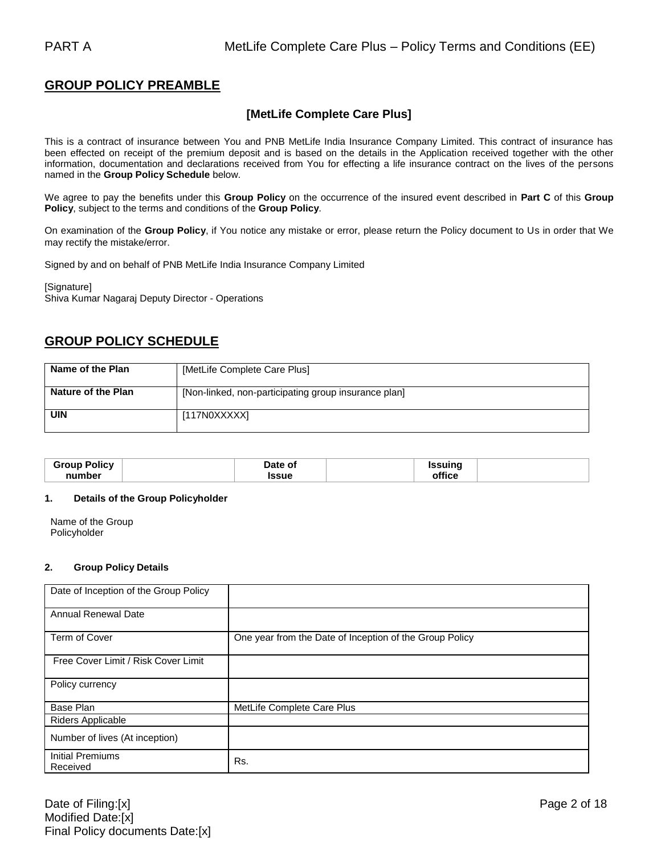# **GROUP POLICY PREAMBLE**

## **[MetLife Complete Care Plus]**

This is a contract of insurance between You and PNB MetLife India Insurance Company Limited. This contract of insurance has been effected on receipt of the premium deposit and is based on the details in the Application received together with the other information, documentation and declarations received from You for effecting a life insurance contract on the lives of the persons named in the **Group Policy Schedule** below.

We agree to pay the benefits under this **Group Policy** on the occurrence of the insured event described in **Part C** of this **Group Policy**, subject to the terms and conditions of the **Group Policy**.

On examination of the **Group Policy**, if You notice any mistake or error, please return the Policy document to Us in order that We may rectify the mistake/error.

Signed by and on behalf of PNB MetLife India Insurance Company Limited

[Signature] Shiva Kumar Nagaraj Deputy Director - Operations

# **GROUP POLICY SCHEDULE**

| Name of the Plan          | [MetLife Complete Care Plus]                         |
|---------------------------|------------------------------------------------------|
| <b>Nature of the Plan</b> | [Non-linked, non-participating group insurance plan] |
| <b>UIN</b>                | [117N0XXXXX]                                         |

| <b>Group Policy</b> | Date of | Issuina |  |
|---------------------|---------|---------|--|
| number              | Issue   | office  |  |

### **1. Details of the Group Policyholder**

Name of the Group Policyholder

#### **2. Group Policy Details**

| Date of Inception of the Group Policy |                                                         |
|---------------------------------------|---------------------------------------------------------|
| <b>Annual Renewal Date</b>            |                                                         |
| Term of Cover                         | One year from the Date of Inception of the Group Policy |
| Free Cover Limit / Risk Cover Limit   |                                                         |
| Policy currency                       |                                                         |
| Base Plan                             | MetLife Complete Care Plus                              |
| Riders Applicable                     |                                                         |
| Number of lives (At inception)        |                                                         |
| <b>Initial Premiums</b><br>Received   | Rs.                                                     |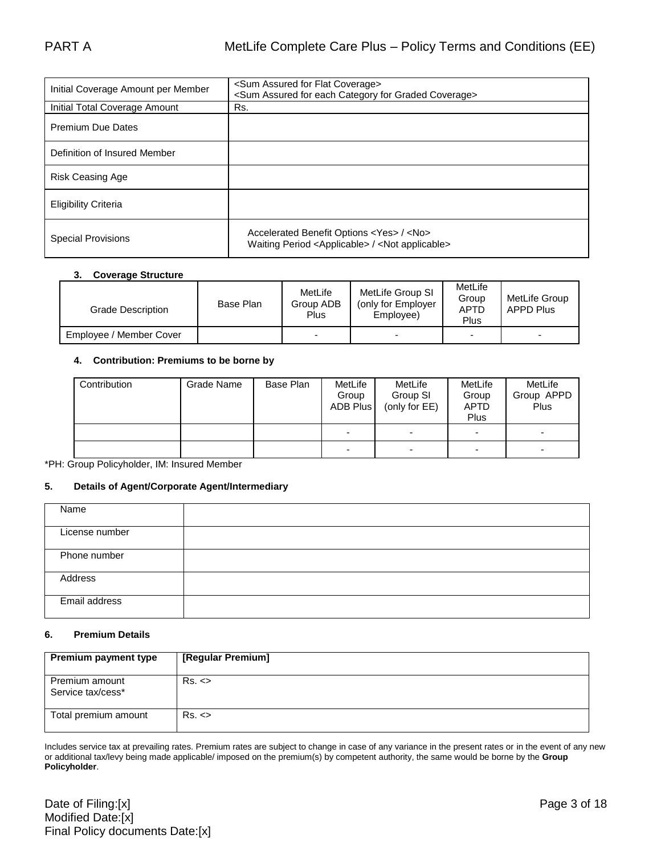| Initial Coverage Amount per Member | <sum assured="" coverage="" flat="" for=""><br/><sum assured="" category="" coverage="" each="" for="" graded=""></sum></sum> |
|------------------------------------|-------------------------------------------------------------------------------------------------------------------------------|
| Initial Total Coverage Amount      | Rs.                                                                                                                           |
| <b>Premium Due Dates</b>           |                                                                                                                               |
| Definition of Insured Member       |                                                                                                                               |
| <b>Risk Ceasing Age</b>            |                                                                                                                               |
| <b>Eligibility Criteria</b>        |                                                                                                                               |
| <b>Special Provisions</b>          | Accelerated Benefit Options <yes> / <no><br/>Waiting Period <applicable> / <not applicable=""></not></applicable></no></yes>  |

## **3. Coverage Structure**

| <b>Grade Description</b> | Base Plan | MetLife<br>Group ADB<br>Plus | MetLife Group SI<br>(only for Employer<br>Employee) | MetLife<br>Group<br><b>APTD</b><br>Plus | MetLife Group<br><b>APPD Plus</b> |
|--------------------------|-----------|------------------------------|-----------------------------------------------------|-----------------------------------------|-----------------------------------|
| Employee / Member Cover  |           | -                            | $\overline{\phantom{0}}$                            | -                                       | -                                 |

### **4. Contribution: Premiums to be borne by**

| Contribution | Grade Name | Base Plan | MetLife<br>Group<br>ADB Plus | MetLife<br>Group SI<br>(only for EE) | MetLife<br>Group<br><b>APTD</b><br><b>Plus</b> | MetLife<br>Group APPD<br><b>Plus</b> |
|--------------|------------|-----------|------------------------------|--------------------------------------|------------------------------------------------|--------------------------------------|
|              |            |           |                              | ۰                                    |                                                | $\overline{\phantom{0}}$             |
|              |            |           |                              | ۰                                    |                                                | $\overline{\phantom{0}}$             |

\*PH: Group Policyholder, IM: Insured Member

## **5. Details of Agent/Corporate Agent/Intermediary**

| Name           |  |
|----------------|--|
| License number |  |
| Phone number   |  |
| Address        |  |
| Email address  |  |

### **6. Premium Details**

| <b>Premium payment type</b>         | [Regular Premium] |
|-------------------------------------|-------------------|
| Premium amount<br>Service tax/cess* | Rs. <             |
| Total premium amount                | Rs. <             |

Includes service tax at prevailing rates. Premium rates are subject to change in case of any variance in the present rates or in the event of any new or additional tax/levy being made applicable/ imposed on the premium(s) by competent authority, the same would be borne by the **Group Policyholder**.

Date of Filing:[x] Page 3 of 18 Modified Date:[x] Final Policy documents Date:[x]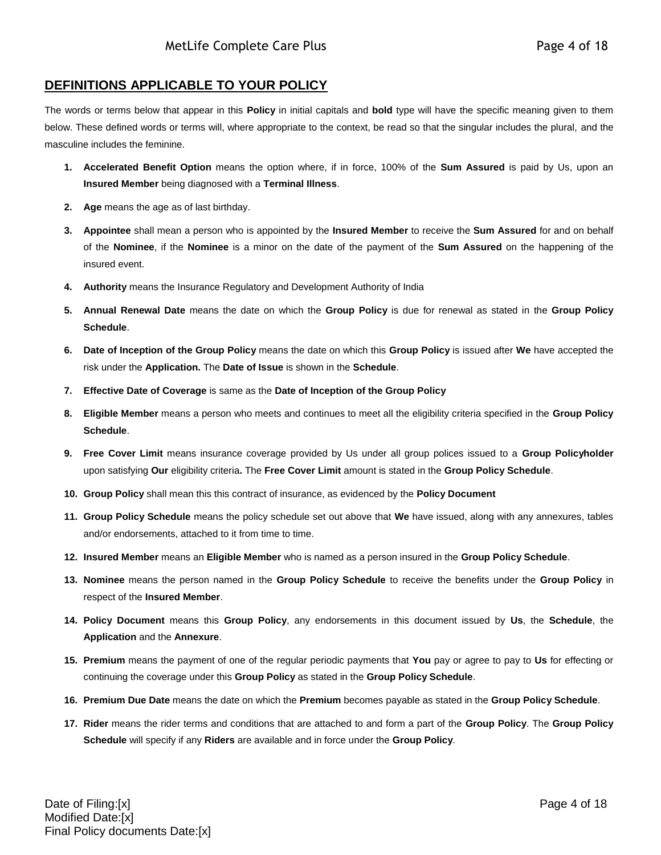# **DEFINITIONS APPLICABLE TO YOUR POLICY**

The words or terms below that appear in this **Policy** in initial capitals and **bold** type will have the specific meaning given to them below. These defined words or terms will, where appropriate to the context, be read so that the singular includes the plural, and the masculine includes the feminine.

- **1. Accelerated Benefit Option** means the option where, if in force, 100% of the **Sum Assured** is paid by Us, upon an **Insured Member** being diagnosed with a **Terminal Illness**.
- **2. Age** means the age as of last birthday.
- **3. Appointee** shall mean a person who is appointed by the **Insured Member** to receive the **Sum Assured** for and on behalf of the **Nominee**, if the **Nominee** is a minor on the date of the payment of the **Sum Assured** on the happening of the insured event.
- **4. Authority** means the Insurance Regulatory and Development Authority of India
- **5. Annual Renewal Date** means the date on which the **Group Policy** is due for renewal as stated in the **Group Policy Schedule**.
- **6. Date of Inception of the Group Policy** means the date on which this **Group Policy** is issued after **We** have accepted the risk under the **Application.** The **Date of Issue** is shown in the **Schedule**.
- **7. Effective Date of Coverage** is same as the **Date of Inception of the Group Policy**
- **8. Eligible Member** means a person who meets and continues to meet all the eligibility criteria specified in the **Group Policy Schedule**.
- **9. Free Cover Limit** means insurance coverage provided by Us under all group polices issued to a **Group Policyholder**  upon satisfying **Our** eligibility criteria**.** The **Free Cover Limit** amount is stated in the **Group Policy Schedule**.
- **10. Group Policy** shall mean this this contract of insurance, as evidenced by the **Policy Document**
- **11. Group Policy Schedule** means the policy schedule set out above that **We** have issued, along with any annexures, tables and/or endorsements, attached to it from time to time.
- **12. Insured Member** means an **Eligible Member** who is named as a person insured in the **Group Policy Schedule**.
- **13. Nominee** means the person named in the **Group Policy Schedule** to receive the benefits under the **Group Policy** in respect of the **Insured Member**.
- **14. Policy Document** means this **Group Policy**, any endorsements in this document issued by **Us**, the **Schedule**, the **Application** and the **Annexure**.
- **15. Premium** means the payment of one of the regular periodic payments that **You** pay or agree to pay to **Us** for effecting or continuing the coverage under this **Group Policy** as stated in the **Group Policy Schedule**.
- **16. Premium Due Date** means the date on which the **Premium** becomes payable as stated in the **Group Policy Schedule**.
- **17. Rider** means the rider terms and conditions that are attached to and form a part of the **Group Policy**. The **Group Policy Schedule** will specify if any **Riders** are available and in force under the **Group Policy**.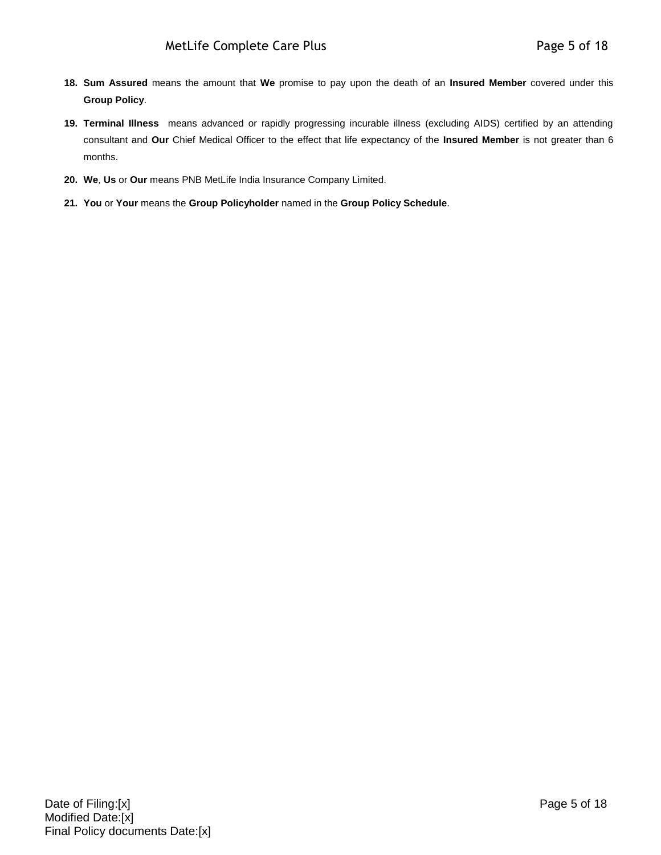- **18. Sum Assured** means the amount that **We** promise to pay upon the death of an **Insured Member** covered under this **Group Policy**.
- **19. Terminal Illness** means advanced or rapidly progressing incurable illness (excluding AIDS) certified by an attending consultant and **Our** Chief Medical Officer to the effect that life expectancy of the **Insured Member** is not greater than 6 months.
- **20. We**, **Us** or **Our** means PNB MetLife India Insurance Company Limited.
- **21. You** or **Your** means the **Group Policyholder** named in the **Group Policy Schedule**.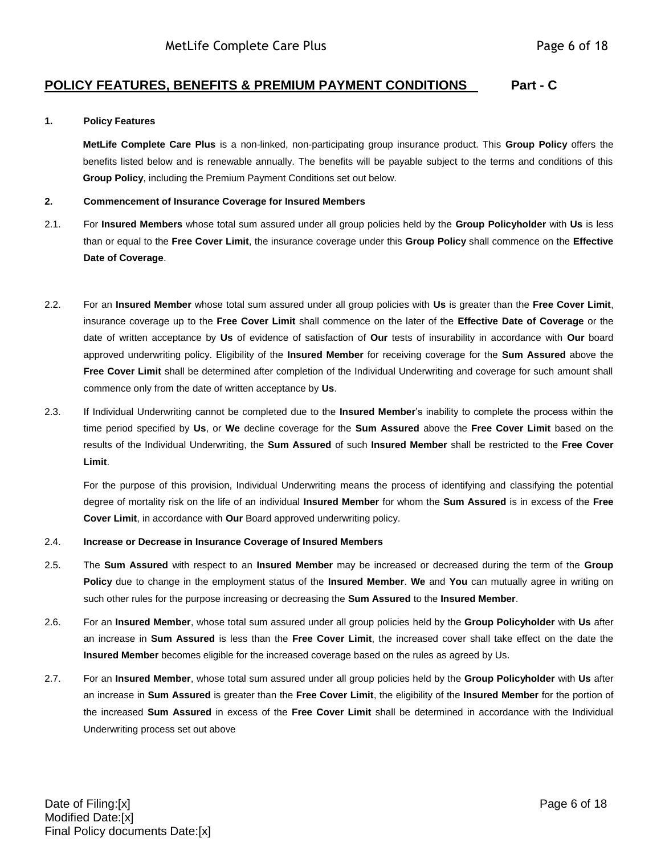# **POLICY FEATURES, BENEFITS & PREMIUM PAYMENT CONDITIONS Part - C**

# **1. Policy Features**

**MetLife Complete Care Plus** is a non-linked, non-participating group insurance product. This **Group Policy** offers the benefits listed below and is renewable annually. The benefits will be payable subject to the terms and conditions of this **Group Policy**, including the Premium Payment Conditions set out below.

#### **2. Commencement of Insurance Coverage for Insured Members**

- 2.1. For **Insured Members** whose total sum assured under all group policies held by the **Group Policyholder** with **Us** is less than or equal to the **Free Cover Limit**, the insurance coverage under this **Group Policy** shall commence on the **Effective Date of Coverage**.
- 2.2. For an **Insured Member** whose total sum assured under all group policies with **Us** is greater than the **Free Cover Limit**, insurance coverage up to the **Free Cover Limit** shall commence on the later of the **Effective Date of Coverage** or the date of written acceptance by **Us** of evidence of satisfaction of **Our** tests of insurability in accordance with **Our** board approved underwriting policy. Eligibility of the **Insured Member** for receiving coverage for the **Sum Assured** above the **Free Cover Limit** shall be determined after completion of the Individual Underwriting and coverage for such amount shall commence only from the date of written acceptance by **Us**.
- 2.3. If Individual Underwriting cannot be completed due to the **Insured Member**'s inability to complete the process within the time period specified by **Us**, or **We** decline coverage for the **Sum Assured** above the **Free Cover Limit** based on the results of the Individual Underwriting, the **Sum Assured** of such **Insured Member** shall be restricted to the **Free Cover Limit**.

For the purpose of this provision, Individual Underwriting means the process of identifying and classifying the potential degree of mortality risk on the life of an individual **Insured Member** for whom the **Sum Assured** is in excess of the **Free Cover Limit**, in accordance with **Our** Board approved underwriting policy.

### 2.4. **Increase or Decrease in Insurance Coverage of Insured Members**

- 2.5. The **Sum Assured** with respect to an **Insured Member** may be increased or decreased during the term of the **Group Policy** due to change in the employment status of the **Insured Member**. **We** and **You** can mutually agree in writing on such other rules for the purpose increasing or decreasing the **Sum Assured** to the **Insured Member**.
- 2.6. For an **Insured Member**, whose total sum assured under all group policies held by the **Group Policyholder** with **Us** after an increase in **Sum Assured** is less than the **Free Cover Limit**, the increased cover shall take effect on the date the **Insured Member** becomes eligible for the increased coverage based on the rules as agreed by Us.
- 2.7. For an **Insured Member**, whose total sum assured under all group policies held by the **Group Policyholder** with **Us** after an increase in **Sum Assured** is greater than the **Free Cover Limit**, the eligibility of the **Insured Member** for the portion of the increased **Sum Assured** in excess of the **Free Cover Limit** shall be determined in accordance with the Individual Underwriting process set out above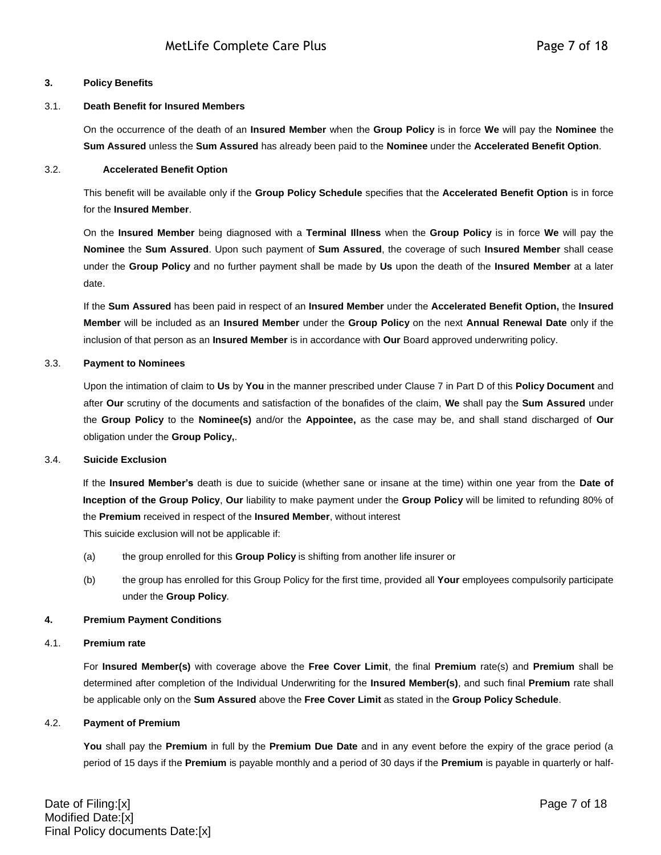#### **3. Policy Benefits**

#### 3.1. **Death Benefit for Insured Members**

On the occurrence of the death of an **Insured Member** when the **Group Policy** is in force **We** will pay the **Nominee** the **Sum Assured** unless the **Sum Assured** has already been paid to the **Nominee** under the **Accelerated Benefit Option**.

#### 3.2. **Accelerated Benefit Option**

This benefit will be available only if the **Group Policy Schedule** specifies that the **Accelerated Benefit Option** is in force for the **Insured Member**.

On the **Insured Member** being diagnosed with a **Terminal Illness** when the **Group Policy** is in force **We** will pay the **Nominee** the **Sum Assured**. Upon such payment of **Sum Assured**, the coverage of such **Insured Member** shall cease under the **Group Policy** and no further payment shall be made by **Us** upon the death of the **Insured Member** at a later date.

If the **Sum Assured** has been paid in respect of an **Insured Member** under the **Accelerated Benefit Option,** the **Insured Member** will be included as an **Insured Member** under the **Group Policy** on the next **Annual Renewal Date** only if the inclusion of that person as an **Insured Member** is in accordance with **Our** Board approved underwriting policy.

#### 3.3. **Payment to Nominees**

Upon the intimation of claim to **Us** by **You** in the manner prescribed under Clause 7 in Part D of this **Policy Document** and after **Our** scrutiny of the documents and satisfaction of the bonafides of the claim, **We** shall pay the **Sum Assured** under the **Group Policy** to the **Nominee(s)** and/or the **Appointee,** as the case may be, and shall stand discharged of **Our**  obligation under the **Group Policy,**.

#### 3.4. **Suicide Exclusion**

If the **Insured Member's** death is due to suicide (whether sane or insane at the time) within one year from the **Date of Inception of the Group Policy**, **Our** liability to make payment under the **Group Policy** will be limited to refunding 80% of the **Premium** received in respect of the **Insured Member**, without interest

This suicide exclusion will not be applicable if:

- (a) the group enrolled for this **Group Policy** is shifting from another life insurer or
- (b) the group has enrolled for this Group Policy for the first time, provided all **Your** employees compulsorily participate under the **Group Policy**.

#### **4. Premium Payment Conditions**

#### 4.1. **Premium rate**

For **Insured Member(s)** with coverage above the **Free Cover Limit**, the final **Premium** rate(s) and **Premium** shall be determined after completion of the Individual Underwriting for the **Insured Member(s)**, and such final **Premium** rate shall be applicable only on the **Sum Assured** above the **Free Cover Limit** as stated in the **Group Policy Schedule**.

#### 4.2. **Payment of Premium**

**You** shall pay the **Premium** in full by the **Premium Due Date** and in any event before the expiry of the grace period (a period of 15 days if the **Premium** is payable monthly and a period of 30 days if the **Premium** is payable in quarterly or half-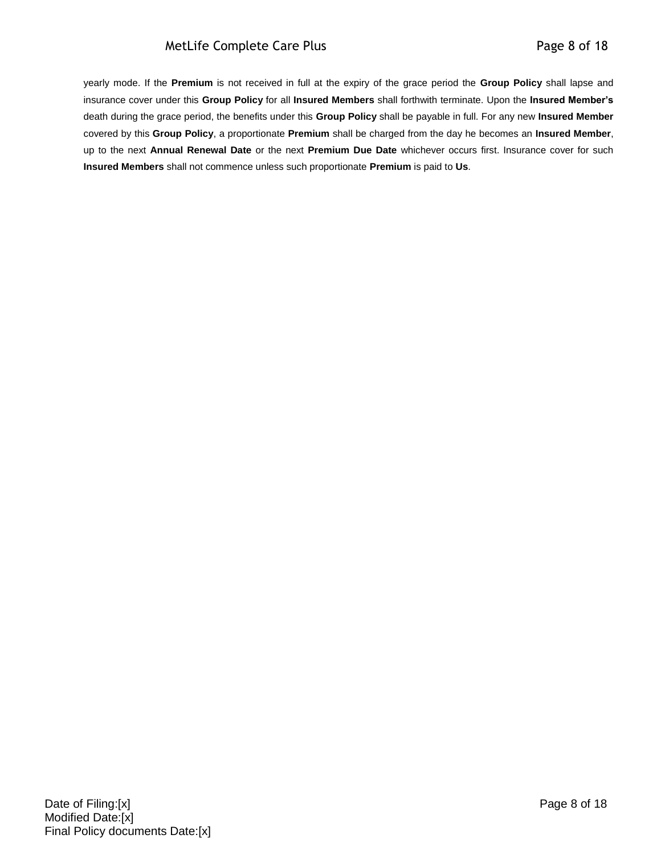# MetLife Complete Care Plus **Page 8 of 18** Analysis Page 8 of 18

yearly mode. If the **Premium** is not received in full at the expiry of the grace period the **Group Policy** shall lapse and insurance cover under this **Group Policy** for all **Insured Members** shall forthwith terminate. Upon the **Insured Member's** death during the grace period, the benefits under this **Group Policy** shall be payable in full. For any new **Insured Member** covered by this **Group Policy**, a proportionate **Premium** shall be charged from the day he becomes an **Insured Member**, up to the next **Annual Renewal Date** or the next **Premium Due Date** whichever occurs first. Insurance cover for such **Insured Members** shall not commence unless such proportionate **Premium** is paid to **Us**.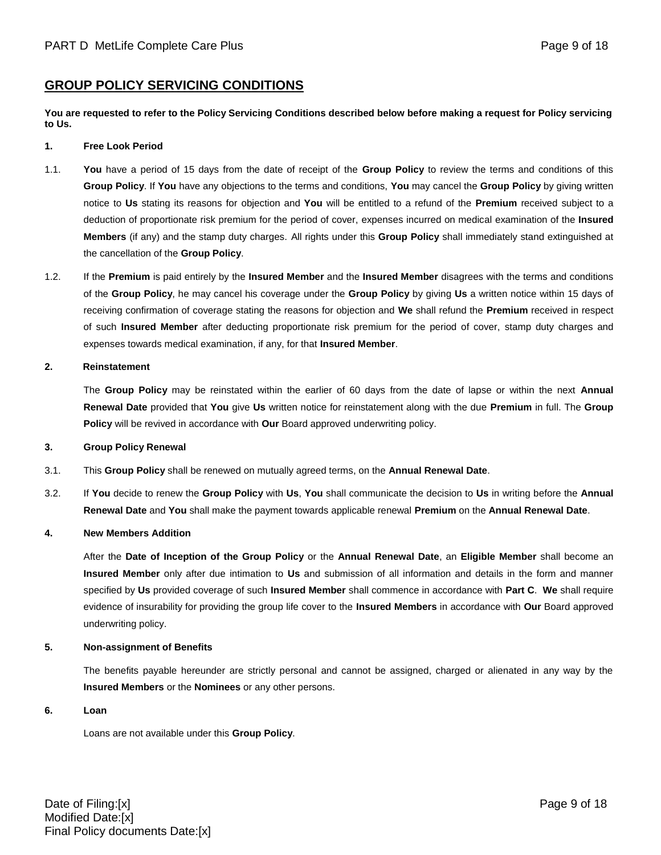# **GROUP POLICY SERVICING CONDITIONS**

**You are requested to refer to the Policy Servicing Conditions described below before making a request for Policy servicing to Us.**

#### **1. Free Look Period**

- 1.1. **You** have a period of 15 days from the date of receipt of the **Group Policy** to review the terms and conditions of this **Group Policy**. If **You** have any objections to the terms and conditions, **You** may cancel the **Group Policy** by giving written notice to **Us** stating its reasons for objection and **You** will be entitled to a refund of the **Premium** received subject to a deduction of proportionate risk premium for the period of cover, expenses incurred on medical examination of the **Insured Members** (if any) and the stamp duty charges. All rights under this **Group Policy** shall immediately stand extinguished at the cancellation of the **Group Policy**.
- 1.2. If the **Premium** is paid entirely by the **Insured Member** and the **Insured Member** disagrees with the terms and conditions of the **Group Policy**, he may cancel his coverage under the **Group Policy** by giving **Us** a written notice within 15 days of receiving confirmation of coverage stating the reasons for objection and **We** shall refund the **Premium** received in respect of such **Insured Member** after deducting proportionate risk premium for the period of cover, stamp duty charges and expenses towards medical examination, if any, for that **Insured Member**.

#### **2. Reinstatement**

The **Group Policy** may be reinstated within the earlier of 60 days from the date of lapse or within the next **Annual Renewal Date** provided that **You** give **Us** written notice for reinstatement along with the due **Premium** in full. The **Group Policy** will be revived in accordance with **Our** Board approved underwriting policy.

#### **3. Group Policy Renewal**

- 3.1. This **Group Policy** shall be renewed on mutually agreed terms, on the **Annual Renewal Date**.
- 3.2. If **You** decide to renew the **Group Policy** with **Us**, **You** shall communicate the decision to **Us** in writing before the **Annual Renewal Date** and **You** shall make the payment towards applicable renewal **Premium** on the **Annual Renewal Date**.

### **4. New Members Addition**

After the **Date of Inception of the Group Policy** or the **Annual Renewal Date**, an **Eligible Member** shall become an **Insured Member** only after due intimation to **Us** and submission of all information and details in the form and manner specified by **Us** provided coverage of such **Insured Member** shall commence in accordance with **Part C**. **We** shall require evidence of insurability for providing the group life cover to the **Insured Members** in accordance with **Our** Board approved underwriting policy.

### **5. Non-assignment of Benefits**

The benefits payable hereunder are strictly personal and cannot be assigned, charged or alienated in any way by the **Insured Members** or the **Nominees** or any other persons.

#### **6. Loan**

Loans are not available under this **Group Policy**.

Date of Filing:[x] Page 9 of 18 Modified Date:[x] Final Policy documents Date:[x]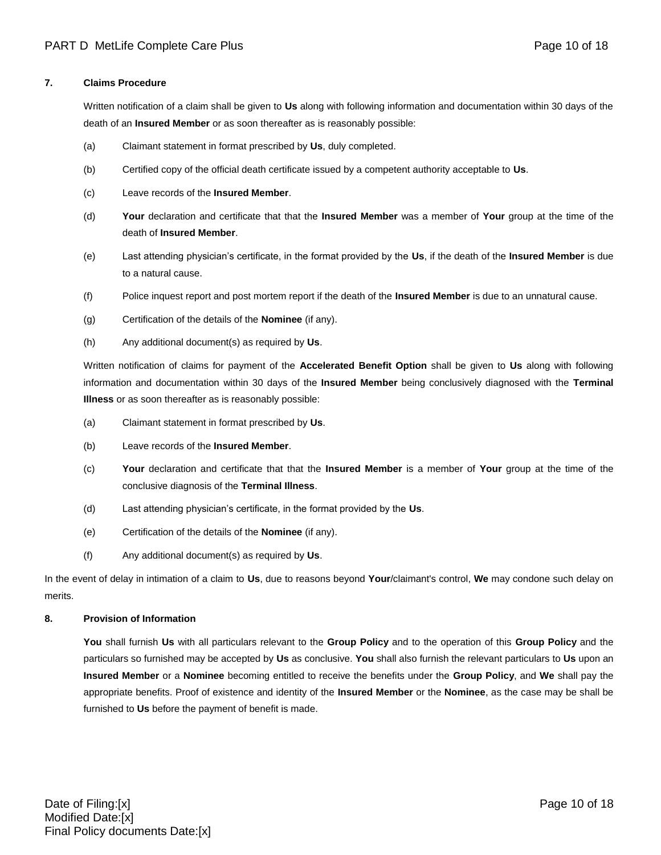## **7. Claims Procedure**

Written notification of a claim shall be given to **Us** along with following information and documentation within 30 days of the death of an **Insured Member** or as soon thereafter as is reasonably possible:

- (a) Claimant statement in format prescribed by **Us**, duly completed.
- (b) Certified copy of the official death certificate issued by a competent authority acceptable to **Us**.
- (c) Leave records of the **Insured Member**.
- (d) **Your** declaration and certificate that that the **Insured Member** was a member of **Your** group at the time of the death of **Insured Member**.
- (e) Last attending physician's certificate, in the format provided by the **Us**, if the death of the **Insured Member** is due to a natural cause.
- (f) Police inquest report and post mortem report if the death of the **Insured Member** is due to an unnatural cause.
- (g) Certification of the details of the **Nominee** (if any).
- (h) Any additional document(s) as required by **Us**.

Written notification of claims for payment of the **Accelerated Benefit Option** shall be given to **Us** along with following information and documentation within 30 days of the **Insured Member** being conclusively diagnosed with the **Terminal Illness** or as soon thereafter as is reasonably possible:

- (a) Claimant statement in format prescribed by **Us**.
- (b) Leave records of the **Insured Member**.
- (c) **Your** declaration and certificate that that the **Insured Member** is a member of **Your** group at the time of the conclusive diagnosis of the **Terminal Illness**.
- (d) Last attending physician's certificate, in the format provided by the **Us**.
- (e) Certification of the details of the **Nominee** (if any).
- (f) Any additional document(s) as required by **Us**.

In the event of delay in intimation of a claim to **Us**, due to reasons beyond **Your**/claimant's control, **We** may condone such delay on merits.

## **8. Provision of Information**

**You** shall furnish **Us** with all particulars relevant to the **Group Policy** and to the operation of this **Group Policy** and the particulars so furnished may be accepted by **Us** as conclusive. **You** shall also furnish the relevant particulars to **Us** upon an **Insured Member** or a **Nominee** becoming entitled to receive the benefits under the **Group Policy**, and **We** shall pay the appropriate benefits. Proof of existence and identity of the **Insured Member** or the **Nominee**, as the case may be shall be furnished to **Us** before the payment of benefit is made.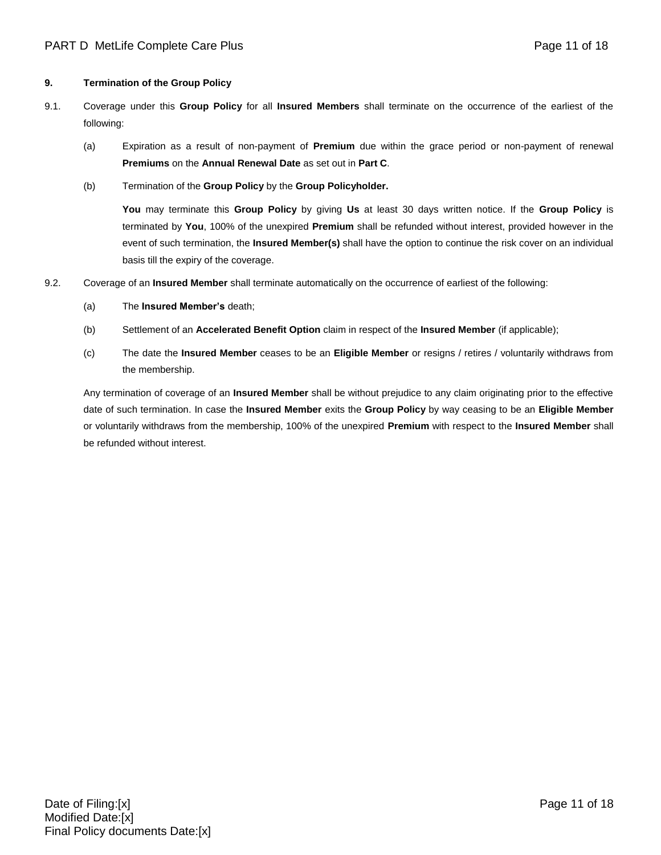## **9. Termination of the Group Policy**

- 9.1. Coverage under this **Group Policy** for all **Insured Members** shall terminate on the occurrence of the earliest of the following:
	- (a) Expiration as a result of non-payment of **Premium** due within the grace period or non-payment of renewal **Premiums** on the **Annual Renewal Date** as set out in **Part C**.
	- (b) Termination of the **Group Policy** by the **Group Policyholder.**

**You** may terminate this **Group Policy** by giving **Us** at least 30 days written notice. If the **Group Policy** is terminated by **You**, 100% of the unexpired **Premium** shall be refunded without interest, provided however in the event of such termination, the **Insured Member(s)** shall have the option to continue the risk cover on an individual basis till the expiry of the coverage.

- 9.2. Coverage of an **Insured Member** shall terminate automatically on the occurrence of earliest of the following:
	- (a) The **Insured Member's** death;
	- (b) Settlement of an **Accelerated Benefit Option** claim in respect of the **Insured Member** (if applicable);
	- (c) The date the **Insured Member** ceases to be an **Eligible Member** or resigns / retires / voluntarily withdraws from the membership.

Any termination of coverage of an **Insured Member** shall be without prejudice to any claim originating prior to the effective date of such termination. In case the **Insured Member** exits the **Group Policy** by way ceasing to be an **Eligible Member** or voluntarily withdraws from the membership, 100% of the unexpired **Premium** with respect to the **Insured Member** shall be refunded without interest.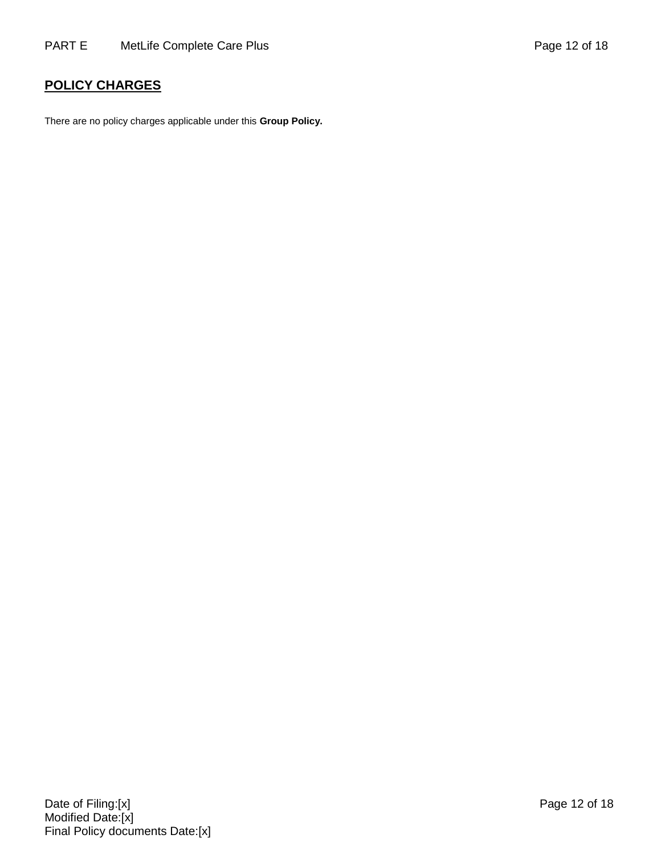# **POLICY CHARGES**

There are no policy charges applicable under this **Group Policy.**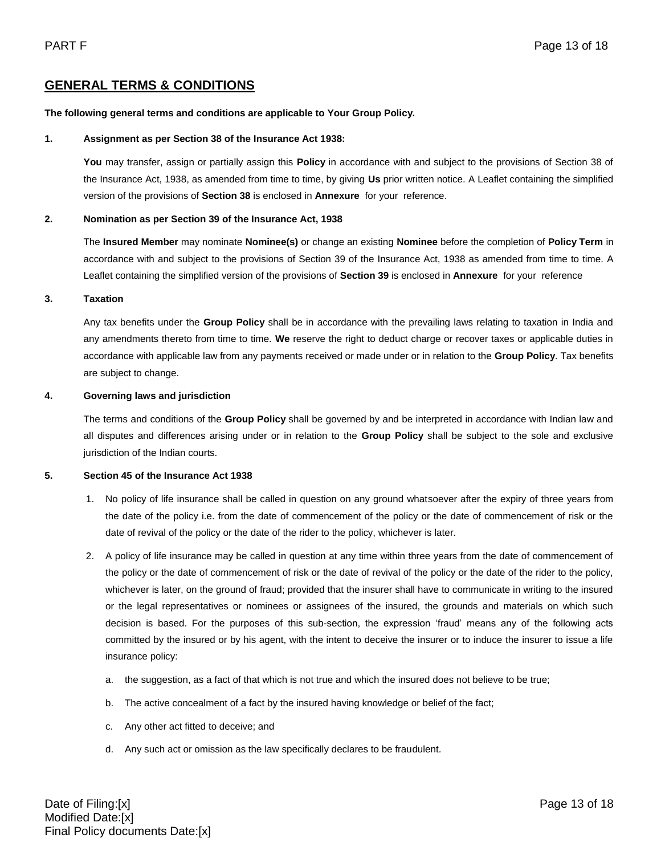## **GENERAL TERMS & CONDITIONS**

#### **The following general terms and conditions are applicable to Your Group Policy.**

#### **1. Assignment as per Section 38 of the Insurance Act 1938:**

**You** may transfer, assign or partially assign this **Policy** in accordance with and subject to the provisions of Section 38 of the Insurance Act, 1938, as amended from time to time, by giving **Us** prior written notice. A Leaflet containing the simplified version of the provisions of **Section 38** is enclosed in **Annexure** for your reference.

#### **2. Nomination as per Section 39 of the Insurance Act, 1938**

The **Insured Member** may nominate **Nominee(s)** or change an existing **Nominee** before the completion of **Policy Term** in accordance with and subject to the provisions of Section 39 of the Insurance Act, 1938 as amended from time to time. A Leaflet containing the simplified version of the provisions of **Section 39** is enclosed in **Annexure** for your reference

#### **3. Taxation**

Any tax benefits under the **Group Policy** shall be in accordance with the prevailing laws relating to taxation in India and any amendments thereto from time to time. **We** reserve the right to deduct charge or recover taxes or applicable duties in accordance with applicable law from any payments received or made under or in relation to the **Group Policy**. Tax benefits are subject to change.

#### **4. Governing laws and jurisdiction**

The terms and conditions of the **Group Policy** shall be governed by and be interpreted in accordance with Indian law and all disputes and differences arising under or in relation to the **Group Policy** shall be subject to the sole and exclusive jurisdiction of the Indian courts.

#### **5. Section 45 of the Insurance Act 1938**

- 1. No policy of life insurance shall be called in question on any ground whatsoever after the expiry of three years from the date of the policy i.e. from the date of commencement of the policy or the date of commencement of risk or the date of revival of the policy or the date of the rider to the policy, whichever is later.
- 2. A policy of life insurance may be called in question at any time within three years from the date of commencement of the policy or the date of commencement of risk or the date of revival of the policy or the date of the rider to the policy, whichever is later, on the ground of fraud; provided that the insurer shall have to communicate in writing to the insured or the legal representatives or nominees or assignees of the insured, the grounds and materials on which such decision is based. For the purposes of this sub-section, the expression 'fraud' means any of the following acts committed by the insured or by his agent, with the intent to deceive the insurer or to induce the insurer to issue a life insurance policy:
	- a. the suggestion, as a fact of that which is not true and which the insured does not believe to be true;
	- b. The active concealment of a fact by the insured having knowledge or belief of the fact;
	- c. Any other act fitted to deceive; and
	- d. Any such act or omission as the law specifically declares to be fraudulent.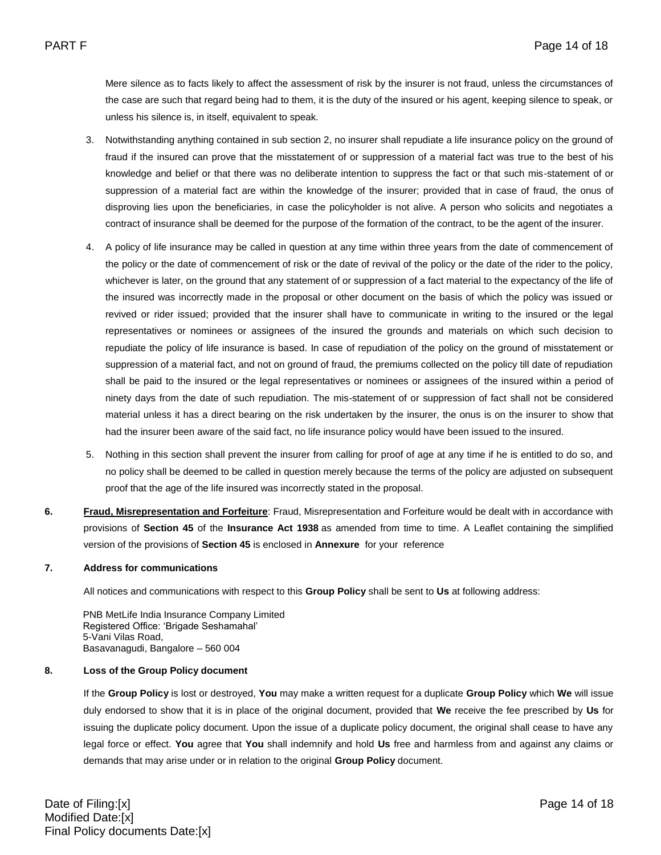Mere silence as to facts likely to affect the assessment of risk by the insurer is not fraud, unless the circumstances of the case are such that regard being had to them, it is the duty of the insured or his agent, keeping silence to speak, or unless his silence is, in itself, equivalent to speak.

- 3. Notwithstanding anything contained in sub section 2, no insurer shall repudiate a life insurance policy on the ground of fraud if the insured can prove that the misstatement of or suppression of a material fact was true to the best of his knowledge and belief or that there was no deliberate intention to suppress the fact or that such mis-statement of or suppression of a material fact are within the knowledge of the insurer; provided that in case of fraud, the onus of disproving lies upon the beneficiaries, in case the policyholder is not alive. A person who solicits and negotiates a contract of insurance shall be deemed for the purpose of the formation of the contract, to be the agent of the insurer.
- 4. A policy of life insurance may be called in question at any time within three years from the date of commencement of the policy or the date of commencement of risk or the date of revival of the policy or the date of the rider to the policy, whichever is later, on the ground that any statement of or suppression of a fact material to the expectancy of the life of the insured was incorrectly made in the proposal or other document on the basis of which the policy was issued or revived or rider issued; provided that the insurer shall have to communicate in writing to the insured or the legal representatives or nominees or assignees of the insured the grounds and materials on which such decision to repudiate the policy of life insurance is based. In case of repudiation of the policy on the ground of misstatement or suppression of a material fact, and not on ground of fraud, the premiums collected on the policy till date of repudiation shall be paid to the insured or the legal representatives or nominees or assignees of the insured within a period of ninety days from the date of such repudiation. The mis-statement of or suppression of fact shall not be considered material unless it has a direct bearing on the risk undertaken by the insurer, the onus is on the insurer to show that had the insurer been aware of the said fact, no life insurance policy would have been issued to the insured.
- 5. Nothing in this section shall prevent the insurer from calling for proof of age at any time if he is entitled to do so, and no policy shall be deemed to be called in question merely because the terms of the policy are adjusted on subsequent proof that the age of the life insured was incorrectly stated in the proposal.
- **6. Fraud, Misrepresentation and Forfeiture**: Fraud, Misrepresentation and Forfeiture would be dealt with in accordance with provisions of **Section 45** of the **Insurance Act 1938** as amended from time to time. A Leaflet containing the simplified version of the provisions of **Section 45** is enclosed in **Annexure** for your reference

#### **7. Address for communications**

All notices and communications with respect to this **Group Policy** shall be sent to **Us** at following address:

PNB MetLife India Insurance Company Limited Registered Office: 'Brigade Seshamahal' 5-Vani Vilas Road, Basavanagudi, Bangalore – 560 004

#### **8. Loss of the Group Policy document**

If the **Group Policy** is lost or destroyed, **You** may make a written request for a duplicate **Group Policy** which **We** will issue duly endorsed to show that it is in place of the original document, provided that **We** receive the fee prescribed by **Us** for issuing the duplicate policy document. Upon the issue of a duplicate policy document, the original shall cease to have any legal force or effect. **You** agree that **You** shall indemnify and hold **Us** free and harmless from and against any claims or demands that may arise under or in relation to the original **Group Policy** document.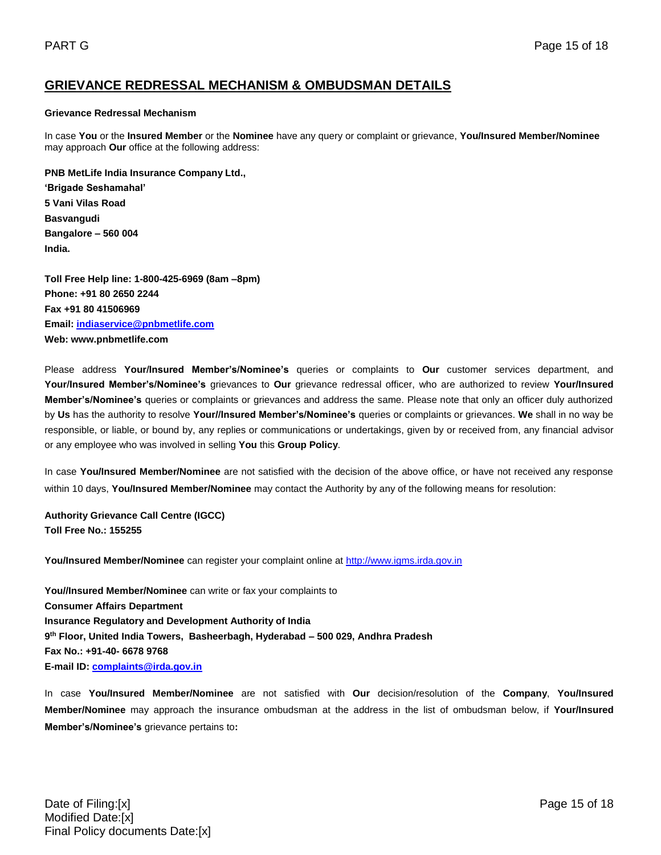# **GRIEVANCE REDRESSAL MECHANISM & OMBUDSMAN DETAILS**

#### **Grievance Redressal Mechanism**

In case **You** or the **Insured Member** or the **Nominee** have any query or complaint or grievance, **You/Insured Member/Nominee** may approach **Our** office at the following address:

**PNB MetLife India Insurance Company Ltd., 'Brigade Seshamahal' 5 Vani Vilas Road Basvangudi Bangalore – 560 004 India.** 

**Toll Free Help line: 1-800-425-6969 (8am –8pm) Phone: +91 80 2650 2244 Fax +91 80 41506969 Email: [indiaservice@pnbmetlife.com](mailto:indiaservice@pnbmetlife.com) Web: www.pnbmetlife.com** 

Please address **Your/Insured Member's/Nominee's** queries or complaints to **Our** customer services department, and **Your/Insured Member's/Nominee's** grievances to **Our** grievance redressal officer, who are authorized to review **Your/Insured Member's/Nominee's** queries or complaints or grievances and address the same. Please note that only an officer duly authorized by **Us** has the authority to resolve **Your//Insured Member's/Nominee's** queries or complaints or grievances. **We** shall in no way be responsible, or liable, or bound by, any replies or communications or undertakings, given by or received from, any financial advisor or any employee who was involved in selling **You** this **Group Policy**.

In case **You/Insured Member/Nominee** are not satisfied with the decision of the above office, or have not received any response within 10 days, **You/Insured Member/Nominee** may contact the Authority by any of the following means for resolution:

**Authority Grievance Call Centre (IGCC) Toll Free No.: 155255**

**You/Insured Member/Nominee** can register your complaint online at [http://www.igms.irda.gov.in](http://www.igms.irda.gov.in/)

**You//Insured Member/Nominee** can write or fax your complaints to **Consumer Affairs Department Insurance Regulatory and Development Authority of India 9 th Floor, United India Towers, Basheerbagh, Hyderabad – 500 029, Andhra Pradesh Fax No.: +91-40- 6678 9768 E-mail ID[: complaints@irda.gov.in](mailto:complaints@irda.gov.in)**

In case **You/Insured Member/Nominee** are not satisfied with **Our** decision/resolution of the **Company**, **You/Insured Member/Nominee** may approach the insurance ombudsman at the address in the list of ombudsman below, if **Your/Insured Member's/Nominee's** grievance pertains to**:**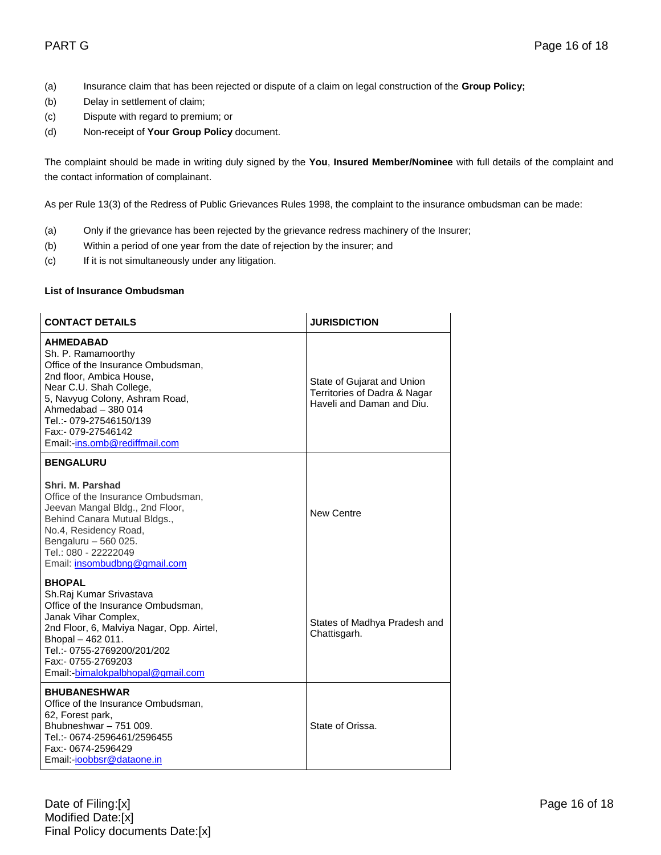- (a) Insurance claim that has been rejected or dispute of a claim on legal construction of the **Group Policy;**
- (b) Delay in settlement of claim;
- (c) Dispute with regard to premium; or
- (d) Non-receipt of **Your Group Policy** document.

The complaint should be made in writing duly signed by the **You**, **Insured Member/Nominee** with full details of the complaint and the contact information of complainant.

As per Rule 13(3) of the Redress of Public Grievances Rules 1998, the complaint to the insurance ombudsman can be made:

- (a) Only if the grievance has been rejected by the grievance redress machinery of the Insurer;
- (b) Within a period of one year from the date of rejection by the insurer; and
- (c) If it is not simultaneously under any litigation.

## **List of Insurance Ombudsman**

| <b>CONTACT DETAILS</b>                                                                                                                                                                                                                                                         | <b>JURISDICTION</b>                                                                     |
|--------------------------------------------------------------------------------------------------------------------------------------------------------------------------------------------------------------------------------------------------------------------------------|-----------------------------------------------------------------------------------------|
| <b>AHMEDABAD</b><br>Sh. P. Ramamoorthy<br>Office of the Insurance Ombudsman,<br>2nd floor, Ambica House,<br>Near C.U. Shah College,<br>5, Navyug Colony, Ashram Road,<br>Ahmedabad - 380 014<br>Tel.:- 079-27546150/139<br>Fax:- 079-27546142<br>Email:-ins.omb@rediffmail.com | State of Gujarat and Union<br>Territories of Dadra & Nagar<br>Haveli and Daman and Diu. |
| <b>BENGALURU</b>                                                                                                                                                                                                                                                               |                                                                                         |
| Shri. M. Parshad<br>Office of the Insurance Ombudsman,<br>Jeevan Mangal Bldg., 2nd Floor,<br>Behind Canara Mutual Bldgs.,<br>No.4, Residency Road,<br>Bengaluru - 560 025.<br>Tel.: 080 - 22222049<br>Email: insombudbng@gmail.com                                             | New Centre                                                                              |
| <b>BHOPAL</b><br>Sh.Raj Kumar Srivastava<br>Office of the Insurance Ombudsman,<br>Janak Vihar Complex,<br>2nd Floor, 6, Malviya Nagar, Opp. Airtel,<br>Bhopal - 462 011.<br>Tel.:- 0755-2769200/201/202<br>Fax:- 0755-2769203<br>Email:-bimalokpalbhopal@gmail.com             | States of Madhya Pradesh and<br>Chattisgarh.                                            |
| <b>BHUBANESHWAR</b><br>Office of the Insurance Ombudsman,<br>62, Forest park,<br>Bhubneshwar - 751 009.<br>Tel.:- 0674-2596461/2596455<br>Fax:- 0674-2596429<br>Email:-ioobbsr@dataone.in                                                                                      | State of Orissa.                                                                        |

Date of Filing:[x] Page 16 of 18 Modified Date:[x] Final Policy documents Date:[x]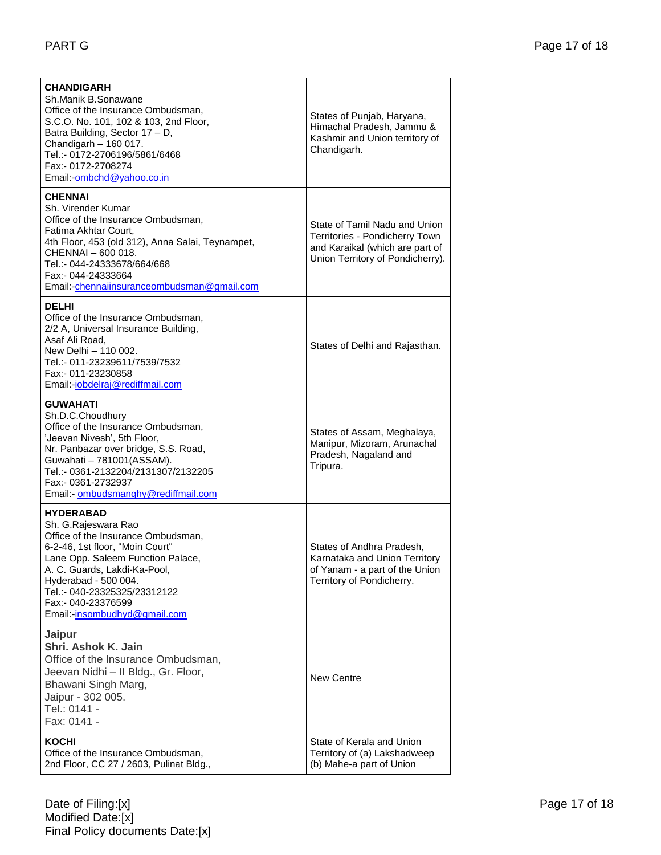| <b>CHANDIGARH</b><br>Sh.Manik B.Sonawane<br>Office of the Insurance Ombudsman,<br>S.C.O. No. 101, 102 & 103, 2nd Floor,<br>Batra Building, Sector 17 - D,<br>Chandigarh - 160 017.<br>Tel.:- 0172-2706196/5861/6468<br>Fax:- 0172-2708274<br>Email:-ombchd@yahoo.co.in                              | States of Punjab, Haryana,<br>Himachal Pradesh, Jammu &<br>Kashmir and Union territory of<br>Chandigarh.                               |
|-----------------------------------------------------------------------------------------------------------------------------------------------------------------------------------------------------------------------------------------------------------------------------------------------------|----------------------------------------------------------------------------------------------------------------------------------------|
| <b>CHENNAI</b><br>Sh. Virender Kumar<br>Office of the Insurance Ombudsman,<br>Fatima Akhtar Court,<br>4th Floor, 453 (old 312), Anna Salai, Teynampet,<br>CHENNAI - 600 018.<br>Tel.:- 044-24333678/664/668<br>Fax:- 044-24333664<br>Email:-chennaiinsuranceombudsman@gmail.com                     | State of Tamil Nadu and Union<br>Territories - Pondicherry Town<br>and Karaikal (which are part of<br>Union Territory of Pondicherry). |
| <b>DELHI</b><br>Office of the Insurance Ombudsman,<br>2/2 A, Universal Insurance Building,<br>Asaf Ali Road,<br>New Delhi - 110 002.<br>Tel.:- 011-23239611/7539/7532<br>Fax:- 011-23230858<br>Email:-jobdelraj@rediffmail.com                                                                      | States of Delhi and Rajasthan.                                                                                                         |
| <b>GUWAHATI</b><br>Sh.D.C.Choudhury<br>Office of the Insurance Ombudsman,<br>'Jeevan Nivesh', 5th Floor,<br>Nr. Panbazar over bridge, S.S. Road,<br>Guwahati - 781001(ASSAM).<br>Tel.:- 0361-2132204/2131307/2132205<br>Fax:- 0361-2732937<br>Email:- ombudsmanghy@rediffmail.com                   | States of Assam, Meghalaya,<br>Manipur, Mizoram, Arunachal<br>Pradesh, Nagaland and<br>Tripura.                                        |
| <b>HYDERABAD</b><br>Sh. G.Rajeswara Rao<br>Office of the Insurance Ombudsman,<br>6-2-46, 1st floor, "Moin Court"<br>Lane Opp. Saleem Function Palace,<br>A. C. Guards, Lakdi-Ka-Pool,<br>Hyderabad - 500 004.<br>Tel.:- 040-23325325/23312122<br>Fax:- 040-23376599<br>Email:-insombudhyd@gmail.com | States of Andhra Pradesh,<br>Karnataka and Union Territory<br>of Yanam - a part of the Union<br>Territory of Pondicherry.              |
| Jaipur<br>Shri. Ashok K. Jain<br>Office of the Insurance Ombudsman,<br>Jeevan Nidhi - II Bldg., Gr. Floor,<br>Bhawani Singh Marg,<br>Jaipur - 302 005.<br>Tel.: 0141 -<br>Fax: 0141 -                                                                                                               | <b>New Centre</b>                                                                                                                      |
| <b>KOCHI</b><br>Office of the Insurance Ombudsman,<br>2nd Floor, CC 27 / 2603, Pulinat Bldg.,                                                                                                                                                                                                       | State of Kerala and Union<br>Territory of (a) Lakshadweep<br>(b) Mahe-a part of Union                                                  |

Date of Filing:[x] Page 17 of 18 Modified Date:[x] Final Policy documents Date:[x]